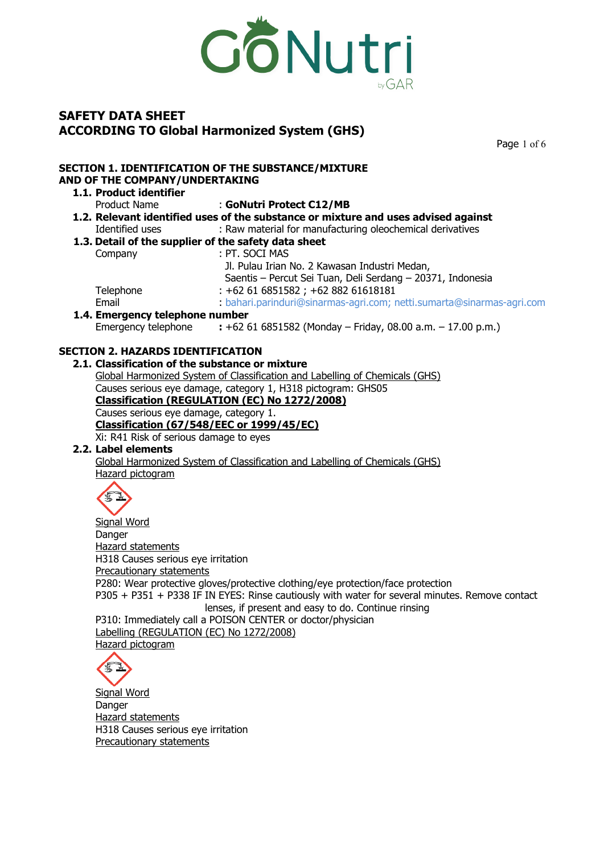

Page 1 of 6

## **SECTION 1. IDENTIFICATION OF THE SUBSTANCE/MIXTURE AND OF THE COMPANY/UNDERTAKING**

|                                                      | AND OF THE COMPANY/UNDERTAKING                                                     |                                                                                          |  |  |  |  |
|------------------------------------------------------|------------------------------------------------------------------------------------|------------------------------------------------------------------------------------------|--|--|--|--|
|                                                      | 1.1. Product identifier                                                            |                                                                                          |  |  |  |  |
|                                                      | <b>Product Name</b>                                                                | : GoNutri Protect C12/MB                                                                 |  |  |  |  |
|                                                      | 1.2. Relevant identified uses of the substance or mixture and uses advised against |                                                                                          |  |  |  |  |
|                                                      | Identified uses <b>Example</b>                                                     | : Raw material for manufacturing oleochemical derivatives                                |  |  |  |  |
| 1.3. Detail of the supplier of the safety data sheet |                                                                                    |                                                                                          |  |  |  |  |
|                                                      | Company                                                                            | : PT. SOCI MAS                                                                           |  |  |  |  |
|                                                      |                                                                                    | Jl. Pulau Irian No. 2 Kawasan Industri Medan,                                            |  |  |  |  |
|                                                      |                                                                                    | Saentis – Percut Sei Tuan, Deli Serdang – 20371, Indonesia                               |  |  |  |  |
|                                                      | Telephone                                                                          | $: +62616851582; +6288261618181$                                                         |  |  |  |  |
|                                                      | Email                                                                              | : bahari.parinduri@sinarmas-agri.com; netti.sumarta@sinarmas-agri.com                    |  |  |  |  |
|                                                      | 1.4. Emergency telephone number                                                    |                                                                                          |  |  |  |  |
|                                                      |                                                                                    | Emergency telephone $\qquad$ : +62 61 6851582 (Monday – Friday, 08.00 a.m. – 17.00 p.m.) |  |  |  |  |
|                                                      |                                                                                    |                                                                                          |  |  |  |  |
|                                                      | <b>SECTION 2. HAZARDS IDENTIFICATION</b>                                           |                                                                                          |  |  |  |  |
|                                                      | 2.1. Classification of the substance or mixture                                    |                                                                                          |  |  |  |  |
|                                                      | Global Harmonized System of Classification and Labelling of Chemicals (GHS)        |                                                                                          |  |  |  |  |
|                                                      | Causes serious eye damage, category 1, H318 pictogram: GHS05                       |                                                                                          |  |  |  |  |
|                                                      | <b>Classification (REGULATION (EC) No 1272/2008)</b>                               |                                                                                          |  |  |  |  |
|                                                      | Causes serious eye damage, category 1.                                             |                                                                                          |  |  |  |  |
|                                                      | Classification (67/548/EEC or 1999/45/EC)                                          |                                                                                          |  |  |  |  |
|                                                      | Xi: R41 Risk of serious damage to eyes                                             |                                                                                          |  |  |  |  |
|                                                      | 2.2. Label elements                                                                |                                                                                          |  |  |  |  |
|                                                      | Global Harmonized System of Classification and Labelling of Chemicals (GHS)        |                                                                                          |  |  |  |  |
|                                                      |                                                                                    |                                                                                          |  |  |  |  |
|                                                      | Hazard pictogram                                                                   |                                                                                          |  |  |  |  |
|                                                      |                                                                                    |                                                                                          |  |  |  |  |
|                                                      |                                                                                    |                                                                                          |  |  |  |  |
|                                                      |                                                                                    |                                                                                          |  |  |  |  |

Signal Word Danger Hazard statements H318 Causes serious eye irritation Precautionary statements P280: Wear protective gloves/protective clothing/eye protection/face protection P305 + P351 + P338 IF IN EYES: Rinse cautiously with water for several minutes. Remove contact lenses, if present and easy to do. Continue rinsing P310: Immediately call a POISON CENTER or doctor/physician Labelling (REGULATION (EC) No 1272/2008) Hazard pictogram



Signal Word **Danger** Hazard statements H318 Causes serious eye irritation Precautionary statements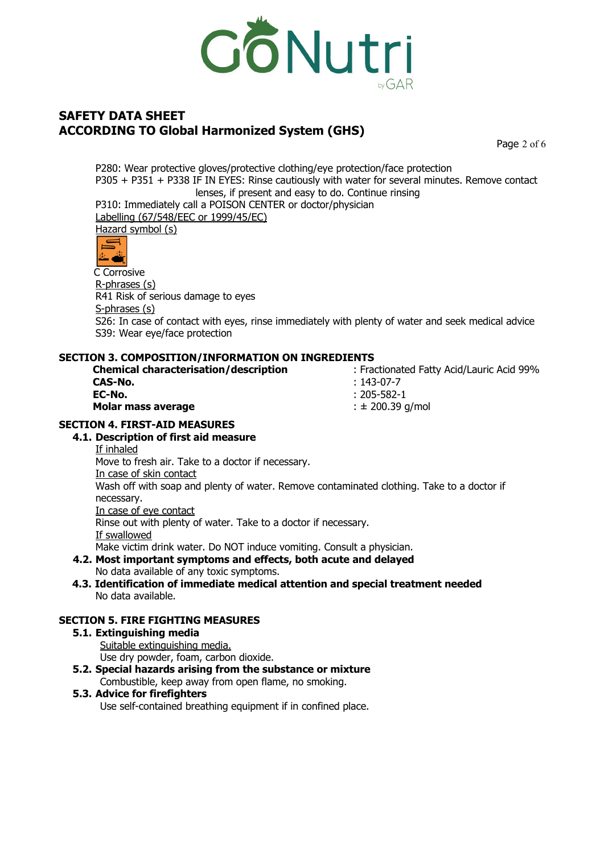

Page 2 of 6

P280: Wear protective gloves/protective clothing/eye protection/face protection P305 + P351 + P338 IF IN EYES: Rinse cautiously with water for several minutes. Remove contact lenses, if present and easy to do. Continue rinsing P310: Immediately call a POISON CENTER or doctor/physician Labelling (67/548/EEC or 1999/45/EC) Hazard symbol (s)  $\Xi$  $\frac{3}{2}$  C Corrosive R-phrases (s) R41 Risk of serious damage to eyes S-phrases (s) S26: In case of contact with eyes, rinse immediately with plenty of water and seek medical advice S39: Wear eye/face protection **SECTION 3. COMPOSITION/INFORMATION ON INGREDIENTS Chemical characterisation/description** : Fractionated Fatty Acid/Lauric Acid 99% **CAS-No.** : 143-07-7 **EC-No.** : 205-582-1 **Molar mass average**  $\qquad \qquad \qquad \qquad \qquad \qquad \qquad \pm 200.39 \text{ g/mol}$ **SECTION 4. FIRST-AID MEASURES 4.1. Description of first aid measure** If inhaled Move to fresh air. Take to a doctor if necessary. In case of skin contact Wash off with soap and plenty of water. Remove contaminated clothing. Take to a doctor if necessary. In case of eye contact Rinse out with plenty of water. Take to a doctor if necessary. If swallowed Make victim drink water. Do NOT induce vomiting. Consult a physician. **4.2. Most important symptoms and effects, both acute and delayed** No data available of any toxic symptoms. **4.3. Identification of immediate medical attention and special treatment needed** No data available.

#### **SECTION 5. FIRE FIGHTING MEASURES**

#### **5.1. Extinguishing media**

Suitable extinguishing media.

Use dry powder, foam, carbon dioxide.

**5.2. Special hazards arising from the substance or mixture**

Combustible, keep away from open flame, no smoking.

### **5.3. Advice for firefighters**

Use self-contained breathing equipment if in confined place.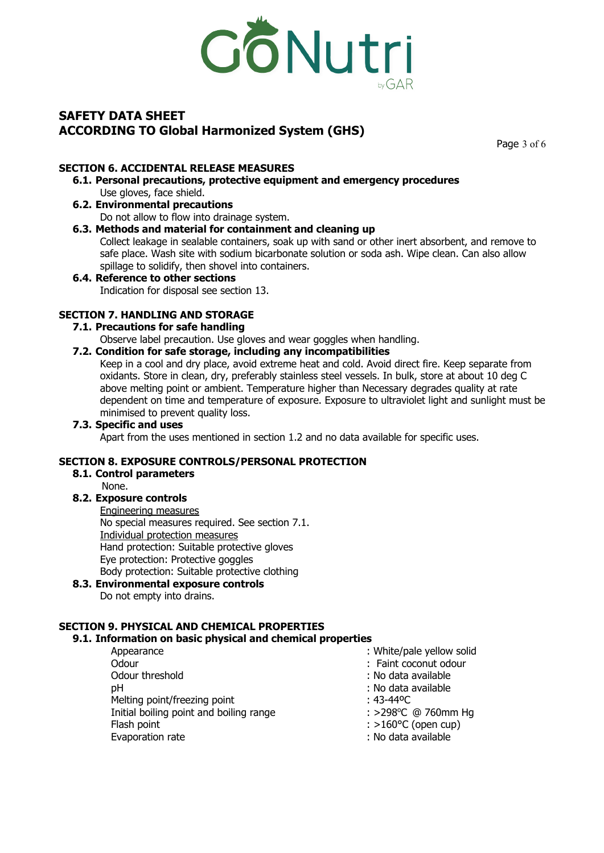

Page 3 of 6

# **SECTION 6. ACCIDENTAL RELEASE MEASURES**

**6.1. Personal precautions, protective equipment and emergency procedures** Use gloves, face shield.

## **6.2. Environmental precautions**

Do not allow to flow into drainage system.

### **6.3. Methods and material for containment and cleaning up**

Collect leakage in sealable containers, soak up with sand or other inert absorbent, and remove to safe place. Wash site with sodium bicarbonate solution or soda ash. Wipe clean. Can also allow spillage to solidify, then shovel into containers.

#### **6.4. Reference to other sections**

Indication for disposal see section 13.

### **SECTION 7. HANDLING AND STORAGE**

## **7.1. Precautions for safe handling**

Observe label precaution. Use gloves and wear goggles when handling.

### **7.2. Condition for safe storage, including any incompatibilities**

Keep in a cool and dry place, avoid extreme heat and cold. Avoid direct fire. Keep separate from oxidants. Store in clean, dry, preferably stainless steel vessels. In bulk, store at about 10 deg C above melting point or ambient. Temperature higher than Necessary degrades quality at rate dependent on time and temperature of exposure. Exposure to ultraviolet light and sunlight must be minimised to prevent quality loss.

#### **7.3. Specific and uses**

Apart from the uses mentioned in section 1.2 and no data available for specific uses.

### **SECTION 8. EXPOSURE CONTROLS/PERSONAL PROTECTION**

### **8.1. Control parameters**

None.

#### **8.2. Exposure controls**

Engineering measures No special measures required. See section 7.1. Individual protection measures Hand protection: Suitable protective gloves Eye protection: Protective goggles Body protection: Suitable protective clothing

#### **8.3. Environmental exposure controls**

Do not empty into drains.

## **SECTION 9. PHYSICAL AND CHEMICAL PROPERTIES**

#### **9.1. Information on basic physical and chemical properties**

| Appearance                              | : White/pale yellow solid     |  |
|-----------------------------------------|-------------------------------|--|
| Odour                                   | : Faint coconut odour         |  |
| Odour threshold                         | : No data available           |  |
| pH                                      | : No data available           |  |
| Melting point/freezing point            | : 43-44°C                     |  |
| Initial boiling point and boiling range | : >298 °C @ 760mm Hq          |  |
| Flash point                             | : $>160^{\circ}$ C (open cup) |  |
| Evaporation rate                        | : No data available           |  |
|                                         |                               |  |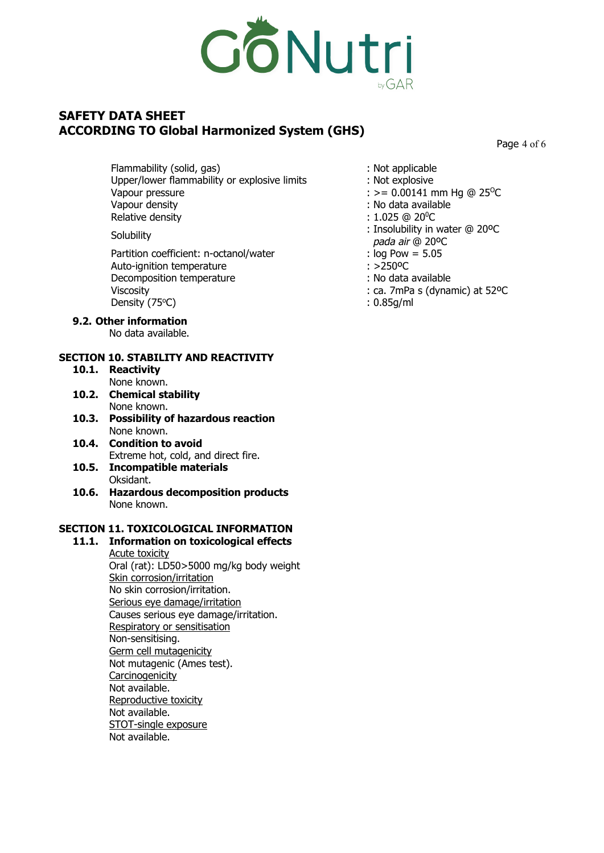

Page 4 of 6

Flammability (solid, gas) : Not applicable Upper/lower flammability or explosive limits : Not explosive Vapour pressure  $\therefore$  >= 0.00141 mm Hg @ 25<sup>o</sup>C Vapour density : No data available Relative density

Partition coefficient: n-octanol/water : iog Pow = 5.05 Auto-ignition temperature  $\cdot$  >250°C Decomposition temperature **EXACCO EXACCO EXACCO EXACCO EXACCO EXACCO EXACCO EXACCO EXACCO EXACCO EXACCO EXACCO** Viscosity : ca. 7mPa s (dynamic) at 52ºC Density (75°C)

#### **9.2. Other information**

No data available.

## **SECTION 10. STABILITY AND REACTIVITY**

- **10.1. Reactivity** None known.
- **10.2. Chemical stability** None known.
- **10.3. Possibility of hazardous reaction** None known.
- **10.4. Condition to avoid** Extreme hot, cold, and direct fire.
- **10.5. Incompatible materials** Oksidant.
- **10.6. Hazardous decomposition products** None known.

# **SECTION 11. TOXICOLOGICAL INFORMATION**

### **11.1. Information on toxicological effects**

Acute toxicity Oral (rat): LD50>5000 mg/kg body weight Skin corrosion/irritation No skin corrosion/irritation. Serious eye damage/irritation Causes serious eye damage/irritation. Respiratory or sensitisation Non-sensitising. Germ cell mutagenicity Not mutagenic (Ames test). **Carcinogenicity** Not available. Reproductive toxicity Not available. STOT-single exposure Not available.

- 
- 
- 
- 
- $: 1.025$  @ 20<sup>o</sup>C
- Solubility **Solubility Solubility** in water @ 20°C  *pada air* @ 20ºC
	-
	-
	-
	-
	- $: 0.85$ g/ml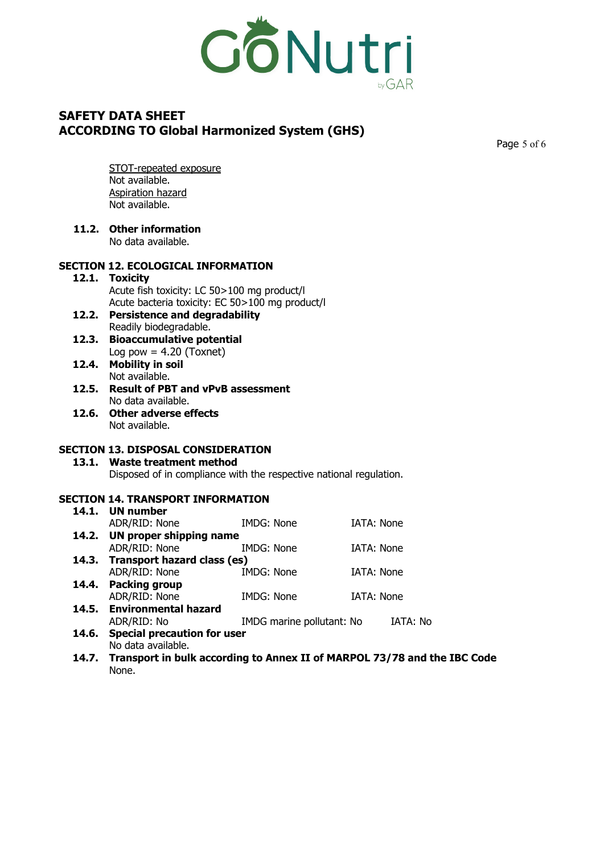

Page 5 of 6

STOT-repeated exposure Not available. Aspiration hazard Not available.

**11.2. Other information** No data available.

# **SECTION 12. ECOLOGICAL INFORMATION**

## **12.1. Toxicity**

- Acute fish toxicity: LC 50>100 mg product/l Acute bacteria toxicity: EC 50>100 mg product/l
- **12.2. Persistence and degradability** Readily biodegradable.
- **12.3. Bioaccumulative potential** Log pow  $= 4.20$  (Toxnet)
- **12.4. Mobility in soil**  Not available.
- **12.5. Result of PBT and vPvB assessment** No data available.
- **12.6. Other adverse effects** Not available.

## **SECTION 13. DISPOSAL CONSIDERATION**

**13.1. Waste treatment method** Disposed of in compliance with the respective national regulation.

### **SECTION 14. TRANSPORT INFORMATION**

|       | 14.1. UN number                    |                           |                                                                                |  |  |
|-------|------------------------------------|---------------------------|--------------------------------------------------------------------------------|--|--|
|       | ADR/RID: None                      | IMDG: None                | <b>IATA: None</b>                                                              |  |  |
|       | 14.2. UN proper shipping name      |                           |                                                                                |  |  |
|       | ADR/RID: None                      | <b>IMDG: None</b>         | <b>IATA: None</b>                                                              |  |  |
|       | 14.3. Transport hazard class (es)  |                           |                                                                                |  |  |
|       | ADR/RID: None                      | <b>IMDG: None</b>         | <b>IATA: None</b>                                                              |  |  |
|       | 14.4. Packing group                |                           |                                                                                |  |  |
|       | ADR/RID: None                      | <b>IMDG: None</b>         | <b>IATA: None</b>                                                              |  |  |
|       | 14.5. Environmental hazard         |                           |                                                                                |  |  |
|       | ADR/RID: No                        | IMDG marine pollutant: No | IATA: No                                                                       |  |  |
| 14.6. | <b>Special precaution for user</b> |                           |                                                                                |  |  |
|       | No data available.                 |                           |                                                                                |  |  |
|       |                                    |                           | 14.7. Transport in bulk according to Annex II of MARPOL 73/78 and the IBC Code |  |  |
|       | None.                              |                           |                                                                                |  |  |